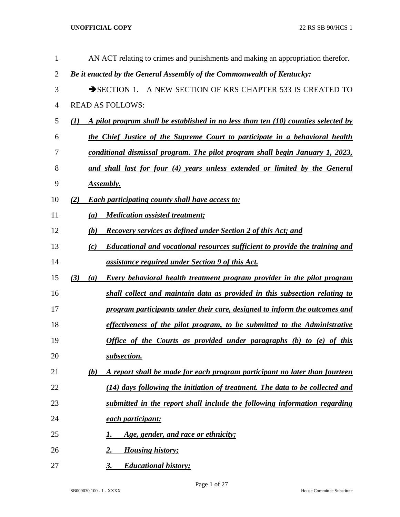| 1              | AN ACT relating to crimes and punishments and making an appropriation therefor.              |
|----------------|----------------------------------------------------------------------------------------------|
| $\overline{2}$ | Be it enacted by the General Assembly of the Commonwealth of Kentucky:                       |
| 3              | SECTION 1. A NEW SECTION OF KRS CHAPTER 533 IS CREATED TO                                    |
| $\overline{4}$ | <b>READ AS FOLLOWS:</b>                                                                      |
| 5              | A pilot program shall be established in no less than ten (10) counties selected by<br>(I)    |
| 6              | the Chief Justice of the Supreme Court to participate in a behavioral health                 |
| 7              | conditional dismissal program. The pilot program shall begin January 1, 2023,                |
| 8              | and shall last for four (4) years unless extended or limited by the General                  |
| 9              | Assembly.                                                                                    |
| 10             | <b>Each participating county shall have access to:</b><br>(2)                                |
| 11             | <b>Medication assisted treatment;</b><br>(a)                                                 |
| 12             | <b>Recovery services as defined under Section 2 of this Act; and</b><br>(b)                  |
| 13             | <b>Educational and vocational resources sufficient to provide the training and</b><br>(c)    |
| 14             | assistance required under Section 9 of this Act.                                             |
| 15             | (3)<br><b>Every behavioral health treatment program provider in the pilot program</b><br>(a) |
| 16             | shall collect and maintain data as provided in this subsection relating to                   |
| 17             | program participants under their care, designed to inform the outcomes and                   |
| 18             | effectiveness of the pilot program, to be submitted to the Administrative                    |
| 19             | Office of the Courts as provided under paragraphs (b) to (e) of this                         |
| 20             | subsection.                                                                                  |
| 21             | A report shall be made for each program participant no later than fourteen<br><u>(b)</u>     |
| 22             | (14) days following the initiation of treatment. The data to be collected and                |
| 23             | submitted in the report shall include the following information regarding                    |
| 24             | each participant:                                                                            |
| 25             | Age, gender, and race or ethnicity;<br>1.                                                    |
| 26             | <b>Housing history;</b><br>2.                                                                |
| 27             | <b>Educational history;</b><br>3.                                                            |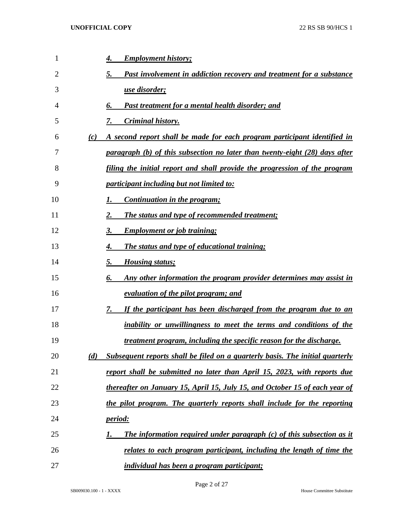| 1  |     | <b>Employment history;</b><br>4.                                                   |
|----|-----|------------------------------------------------------------------------------------|
| 2  |     | 5.<br><b>Past involvement in addiction recovery and treatment for a substance</b>  |
| 3  |     | <u>use disorder;</u>                                                               |
| 4  |     | <u>Past treatment for a mental health disorder; and</u><br>6.                      |
| 5  |     | <b>Criminal history.</b><br>7.                                                     |
| 6  | (c) | A second report shall be made for each program participant identified in           |
| 7  |     | paragraph (b) of this subsection no later than twenty-eight (28) days after        |
| 8  |     | filing the initial report and shall provide the progression of the program         |
| 9  |     | <u>participant including but not limited to:</u>                                   |
| 10 |     | Continuation in the program;<br>1.                                                 |
| 11 |     | 2.<br>The status and type of recommended treatment;                                |
| 12 |     | 3.<br><b>Employment or job training;</b>                                           |
| 13 |     | <b>The status and type of educational training;</b><br>4.                          |
| 14 |     | 5.<br><b>Housing status;</b>                                                       |
| 15 |     | Any other information the program provider determines may assist in<br>6.          |
| 16 |     | <u>evaluation of the pilot program; and</u>                                        |
| 17 |     | If the participant has been discharged from the program due to an<br>7.            |
| 18 |     | <u>inability or unwillingness to meet the terms and conditions of the</u>          |
| 19 |     | <u>treatment program, including the specific reason for the discharge.</u>         |
| 20 | (d) | Subsequent reports shall be filed on a quarterly basis. The initial quarterly      |
| 21 |     | report shall be submitted no later than April 15, 2023, with reports due           |
| 22 |     | thereafter on January 15, April 15, July 15, and October 15 of each year of        |
| 23 |     | the pilot program. The quarterly reports shall include for the reporting           |
| 24 |     | <u>period:</u>                                                                     |
| 25 |     | <b>The information required under paragraph (c) of this subsection as it</b><br>1. |
| 26 |     | relates to each program participant, including the length of time the              |
| 27 |     | <i>individual has been a program participant;</i>                                  |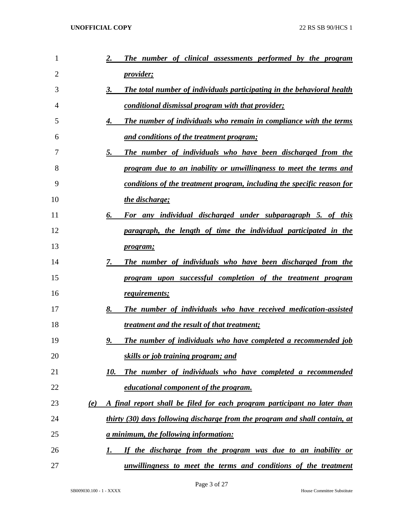| 1              | The number of clinical assessments performed by the program<br>2.               |
|----------------|---------------------------------------------------------------------------------|
| $\overline{2}$ | <i>provider</i> ;                                                               |
| 3              | 3.<br>The total number of individuals participating in the behavioral health    |
| 4              | <u>conditional dismissal program with that provider;</u>                        |
| 5              | The number of individuals who remain in compliance with the terms<br>4.         |
| 6              | <u>and conditions of the treatment program;</u>                                 |
| 7              | 5.<br>The number of individuals who have been discharged from the               |
| 8              | program due to an inability or unwillingness to meet the terms and              |
| 9              | conditions of the treatment program, including the specific reason for          |
| 10             | the discharge;                                                                  |
| 11             | 6.<br>For any individual discharged under subparagraph 5. of this               |
| 12             | paragraph, the length of time the individual participated in the                |
| 13             | <i>program;</i>                                                                 |
| 14             | 7.<br>The number of individuals who have been discharged from the               |
| 15             | program upon successful completion of the treatment program                     |
| 16             | requirements;                                                                   |
| 17             | 8.<br>The number of individuals who have received medication-assisted           |
| 18             | <i>treatment and the result of that treatment;</i>                              |
| 19             | 9.<br><b>The number of individuals who have completed a recommended job</b>     |
| 20             | skills or job training program; and                                             |
| 21             | The number of individuals who have completed a recommended<br>10.               |
| 22             | educational component of the program.                                           |
| 23             | A final report shall be filed for each program participant no later than<br>(e) |
| 24             | thirty (30) days following discharge from the program and shall contain, at     |
| 25             | <u>a minimum, the following information:</u>                                    |
| 26             | If the discharge from the program was due to an inability or<br>1.              |
| 27             | unwillingness to meet the terms and conditions of the treatment                 |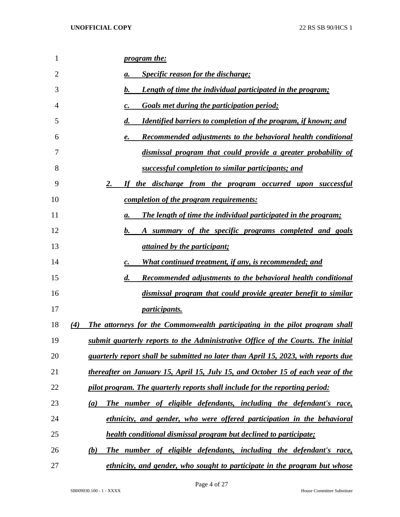| 1  | <i>program the:</i>                                                                          |
|----|----------------------------------------------------------------------------------------------|
| 2  | <b>Specific reason for the discharge;</b><br>а.                                              |
| 3  | b.<br><u>Length of time the individual participated in the program;</u>                      |
| 4  | <b>Goals met during the participation period;</b><br>c.                                      |
| 5  | $\boldsymbol{d}$ .<br><b>Identified barriers to completion of the program, if known; and</b> |
| 6  | <b>Recommended adjustments to the behavioral health conditional</b><br>e.                    |
| 7  | dismissal program that could provide a greater probability of                                |
| 8  | successful completion to similar participants; and                                           |
| 9  | 2.<br>the discharge from the program occurred upon successful<br>If                          |
| 10 | <u>completion of the program requirements:</u>                                               |
| 11 | <b>The length of time the individual participated in the program;</b><br>a.                  |
| 12 | b.<br>A summary of the specific programs completed and goals                                 |
| 13 | <i>attained by the participant;</i>                                                          |
| 14 | <u>What continued treatment, if any, is recommended; and</u><br>c.                           |
| 15 | $\boldsymbol{d}$ .<br><b>Recommended adjustments to the behavioral health conditional</b>    |
| 16 | dismissal program that could provide greater benefit to similar                              |
| 17 | <i>participants.</i>                                                                         |
| 18 | (4)<br>The attorneys for the Commonwealth participating in the pilot program shall           |
| 19 | submit quarterly reports to the Administrative Office of the Courts. The initial             |
| 20 | <i>quarterly report shall be submitted no later than April 15, 2023, with reports due</i>    |
| 21 | thereafter on January 15, April 15, July 15, and October 15 of each year of the              |
| 22 | pilot program. The quarterly reports shall include for the reporting period:                 |
| 23 | The number of eligible defendants, including the defendant's race,<br>(a)                    |
| 24 | ethnicity, and gender, who were offered participation in the behavioral                      |
| 25 | <b>health conditional dismissal program but declined to participate;</b>                     |
| 26 | The number of eligible defendants, including the defendant's race,<br>(b)                    |
| 27 | <u>ethnicity, and gender, who sought to participate in the program but whose</u>             |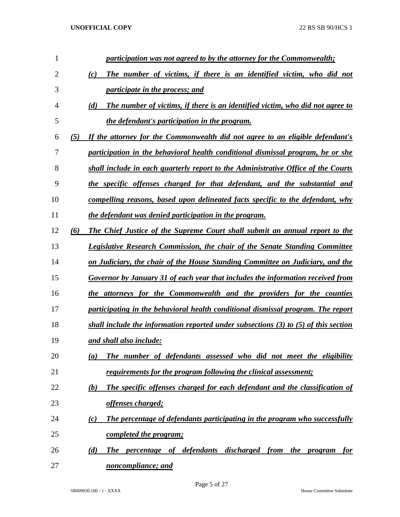| 1              |     | participation was not agreed to by the attorney for the Commonwealth;                 |
|----------------|-----|---------------------------------------------------------------------------------------|
| $\overline{2}$ |     | The number of victims, if there is an identified victim, who did not<br>(c)           |
| 3              |     | <i>participate in the process; and</i>                                                |
| $\overline{4}$ |     | The number of victims, if there is an identified victim, who did not agree to<br>(d)  |
| 5              |     | the defendant's participation in the program.                                         |
| 6              | (5) | If the attorney for the Commonwealth did not agree to an eligible defendant's         |
| 7              |     | participation in the behavioral health conditional dismissal program, he or she       |
| 8              |     | shall include in each quarterly report to the Administrative Office of the Courts     |
| 9              |     | the specific offenses charged for that defendant, and the substantial and             |
| 10             |     | <u>compelling reasons, based upon delineated facts specific to the defendant, why</u> |
| 11             |     | the defendant was denied participation in the program.                                |
| 12             | (6) | <b>The Chief Justice of the Supreme Court shall submit an annual report to the</b>    |
| 13             |     | <b>Legislative Research Commission, the chair of the Senate Standing Committee</b>    |
| 14             |     | on Judiciary, the chair of the House Standing Committee on Judiciary, and the         |
| 15             |     | Governor by January 31 of each year that includes the information received from       |
| 16             |     | the attorneys for the Commonwealth and the providers for the counties                 |
| 17             |     | participating in the behavioral health conditional dismissal program. The report      |
| 18             |     | shall include the information reported under subsections (3) to (5) of this section   |
| 19             |     | and shall also include:                                                               |
| 20             |     | The number of defendants assessed who did not meet the eligibility<br>(a)             |
| 21             |     | <u>requirements for the program following the clinical assessment;</u>                |
| 22             |     | The specific offenses charged for each defendant and the classification of<br>(b)     |
| 23             |     | <u>offenses charged;</u>                                                              |
| 24             |     | The percentage of defendants participating in the program who successfully<br>(c)     |
| 25             |     | <u>completed the program;</u>                                                         |
| 26             |     | The percentage of defendants discharged from the program<br>(d)<br><u>for</u>         |
| 27             |     | noncompliance; and                                                                    |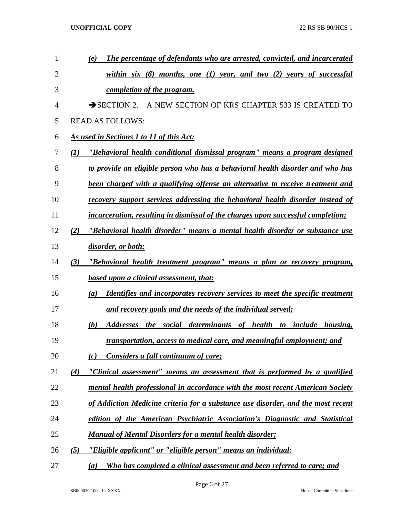| $\mathbf{1}$   |     | The percentage of defendants who are arrested, convicted, and incarcerated<br>(e)          |
|----------------|-----|--------------------------------------------------------------------------------------------|
| $\overline{2}$ |     | within six $(6)$ months, one $(1)$ year, and two $(2)$ years of successful                 |
| 3              |     | completion of the program.                                                                 |
| 4              |     | SECTION 2. A NEW SECTION OF KRS CHAPTER 533 IS CREATED TO                                  |
| 5              |     | <b>READ AS FOLLOWS:</b>                                                                    |
| 6              |     | As used in Sections 1 to 11 of this Act:                                                   |
| 7              | (I) | <u>"Behavioral health conditional dismissal program" means a program designed</u>          |
| 8              |     | to provide an eligible person who has a behavioral health disorder and who has             |
| 9              |     | been charged with a qualifying offense an alternative to receive treatment and             |
| 10             |     | recovery support services addressing the behavioral health disorder instead of             |
| 11             |     | incarceration, resulting in dismissal of the charges upon successful completion;           |
| 12             | (2) | "Behavioral health disorder" means a mental health disorder or substance use               |
| 13             |     | disorder, or both;                                                                         |
| 14             | (3) | "Behavioral health treatment program" means a plan or recovery program,                    |
| 15             |     | <b>based upon a clinical assessment, that:</b>                                             |
| 16             |     | <b>Identifies and incorporates recovery services to meet the specific treatment</b><br>(a) |
| 17             |     | and recovery goals and the needs of the individual served;                                 |
| 18             |     | (b)<br>Addresses the social determinants of health to include housing,                     |
| 19             |     | transportation, access to medical care, and meaningful employment; and                     |
| 20             |     | Considers a full continuum of care;<br>(c)                                                 |
| 21             | (4) | "Clinical assessment" means an assessment that is performed by a qualified                 |
| 22             |     | mental health professional in accordance with the most recent American Society             |
| 23             |     | of Addiction Medicine criteria for a substance use disorder, and the most recent           |
| 24             |     | edition of the American Psychiatric Association's Diagnostic and Statistical               |
| 25             |     | <b>Manual of Mental Disorders for a mental health disorder;</b>                            |
| 26             | (5) | "Eligible applicant" or "eligible person" means an individual:                             |
| 27             |     | Who has completed a clinical assessment and been referred to care; and<br>(a)              |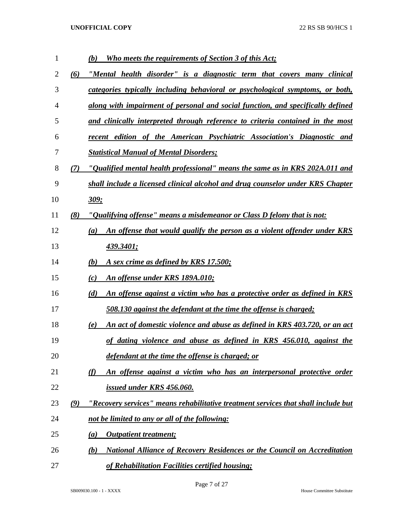| 1  |     | <b>Who meets the requirements of Section 3 of this Act;</b><br>(b)                           |
|----|-----|----------------------------------------------------------------------------------------------|
| 2  | (6) | "Mental health disorder" is a diagnostic term that covers many clinical                      |
| 3  |     | <u>categories typically including behavioral or psychological symptoms, or both,</u>         |
| 4  |     | along with impairment of personal and social function, and specifically defined              |
| 5  |     | and clinically interpreted through reference to criteria contained in the most               |
| 6  |     | recent edition of the American Psychiatric Association's Diagnostic and                      |
| 7  |     | <b>Statistical Manual of Mental Disorders;</b>                                               |
| 8  | (7) | "Qualified mental health professional" means the same as in KRS 202A.011 and                 |
| 9  |     | shall include a licensed clinical alcohol and drug counselor under KRS Chapter               |
| 10 |     | <u>309;</u>                                                                                  |
| 11 | (8) | "Qualifying offense" means a misdemeanor or Class D felony that is not:                      |
| 12 |     | An offense that would qualify the person as a violent offender under KRS<br>$\left(a\right)$ |
| 13 |     | 439.3401;                                                                                    |
| 14 |     | <u>A sex crime as defined by KRS 17.500;</u><br>(b)                                          |
| 15 |     | An offense under KRS 189A.010;<br>(c)                                                        |
| 16 |     | (d)<br><u>An offense against a victim who has a protective order as defined in KRS</u>       |
| 17 |     | 508.130 against the defendant at the time the offense is charged;                            |
| 18 |     | <u>An act of domestic violence and abuse as defined in KRS 403.720, or an act</u><br>(e)     |
| 19 |     | of dating violence and abuse as defined in KRS 456.010, against the                          |
| 20 |     | defendant at the time the offense is charged; or                                             |
| 21 |     | $\omega$<br>An offense against a victim who has an interpersonal protective order            |
| 22 |     | issued under KRS 456.060.                                                                    |
| 23 | (9) | "Recovery services" means rehabilitative treatment services that shall include but           |
| 24 |     | not be limited to any or all of the following:                                               |
| 25 |     | <b>Outpatient treatment;</b><br>(a)                                                          |
| 26 |     | <b>National Alliance of Recovery Residences or the Council on Accreditation</b><br>(b)       |
| 27 |     | of Rehabilitation Facilities certified housing;                                              |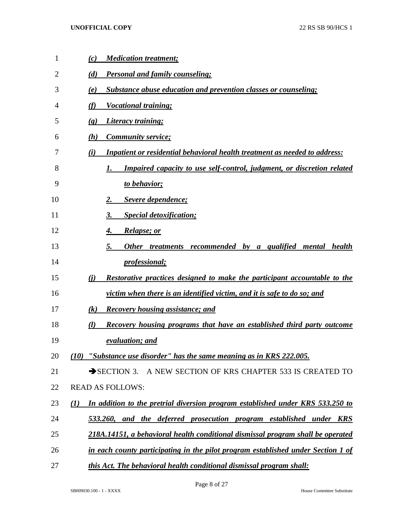| 1  | <b>Medication treatment;</b><br>(c)                                                                |
|----|----------------------------------------------------------------------------------------------------|
| 2  | <b>Personal and family counseling;</b><br>(d)                                                      |
| 3  | <b>Substance abuse education and prevention classes or counseling;</b><br>(e)                      |
| 4  | <b>Vocational training;</b><br>(f)                                                                 |
| 5  | Literacy training;<br>$\left( \mathbf{g} \right)$                                                  |
| 6  | <b>Community service;</b><br>(h)                                                                   |
| 7  | Inpatient or residential behavioral health treatment as needed to address:<br>(i)                  |
| 8  | Impaired capacity to use self-control, judgment, or discretion related                             |
| 9  | to behavior;                                                                                       |
| 10 | Severe dependence;<br>2.                                                                           |
| 11 | <b>Special detoxification;</b><br>3.                                                               |
| 12 | <i>Relapse; or</i><br>4.                                                                           |
| 13 | 5.<br>Other treatments recommended by a qualified mental health                                    |
| 14 | <i>professional</i> ;                                                                              |
| 15 | Restorative practices designed to make the participant accountable to the<br>(i)                   |
| 16 | victim when there is an identified victim, and it is safe to do so; and                            |
| 17 | (k)<br><b>Recovery housing assistance; and</b>                                                     |
| 18 | Recovery housing programs that have an established third party outcome<br>(l)                      |
| 19 | evaluation; and                                                                                    |
| 20 | $(10)$ "Substance use disorder" has the same meaning as in KRS 222.005.                            |
| 21 | A NEW SECTION OF KRS CHAPTER 533 IS CREATED TO<br>$\rightarrow$ SECTION 3.                         |
| 22 | <b>READ AS FOLLOWS:</b>                                                                            |
| 23 | In addition to the pretrial diversion program established under KRS 533.250 to<br>$\mathcal{L}(I)$ |
| 24 | 533.260, and the deferred prosecution program established under KRS                                |
| 25 | 218A.14151, a behavioral health conditional dismissal program shall be operated                    |
| 26 | in each county participating in the pilot program established under Section 1 of                   |
| 27 | this Act. The behavioral health conditional dismissal program shall:                               |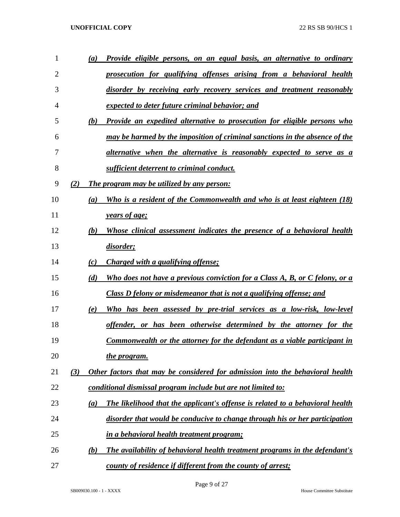| $\mathbf{1}$ | (a) | Provide eligible persons, on an equal basis, an alternative to ordinary          |
|--------------|-----|----------------------------------------------------------------------------------|
| 2            |     | prosecution for qualifying offenses arising from a behavioral health             |
| 3            |     | disorder by receiving early recovery services and treatment reasonably           |
| 4            |     | expected to deter future criminal behavior; and                                  |
| 5            | (b) | <b>Provide an expedited alternative to prosecution for eligible persons who</b>  |
| 6            |     | may be harmed by the imposition of criminal sanctions in the absence of the      |
| 7            |     | alternative when the alternative is reasonably expected to serve as a            |
| 8            |     | sufficient deterrent to criminal conduct.                                        |
| 9            | (2) | The program may be utilized by any person:                                       |
| 10           | (a) | Who is a resident of the Commonwealth and who is at least eighteen (18)          |
| 11           |     | <i><u><b>years of age;</b></u></i>                                               |
| 12           | (b) | Whose clinical assessment indicates the presence of a behavioral health          |
| 13           |     | disorder;                                                                        |
| 14           | (c) | Charged with a qualifying offense;                                               |
| 15           | (d) | Who does not have a previous conviction for a Class A, B, or C felony, or a      |
| 16           |     | Class D felony or misdemeanor that is not a qualifying offense; and              |
| 17           | (e) | Who has been assessed by pre-trial services as a low-risk, low-level             |
| 18           |     | offender, or has been otherwise determined by the attorney for the               |
| 19           |     | <b>Commonwealth or the attorney for the defendant as a viable participant in</b> |
| 20           |     | the program.                                                                     |
| 21           | (3) | Other factors that may be considered for admission into the behavioral health    |
| 22           |     | conditional dismissal program include but are not limited to:                    |
| 23           | (a) | The likelihood that the applicant's offense is related to a behavioral health    |
| 24           |     | disorder that would be conducive to change through his or her participation      |
| 25           |     | <i>in a behavioral health treatment program;</i>                                 |
| 26           | (b) | The availability of behavioral health treatment programs in the defendant's      |
| 27           |     | county of residence if different from the county of arrest;                      |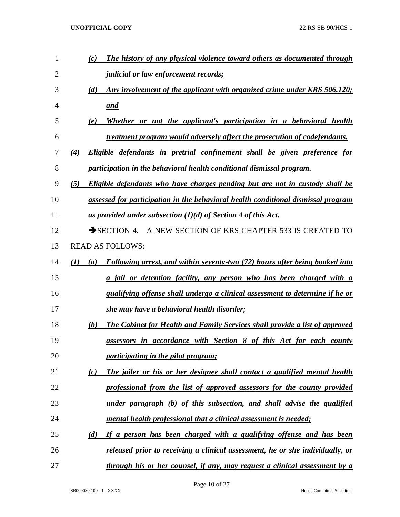| 1              | The history of any physical violence toward others as documented through<br>(c)           |
|----------------|-------------------------------------------------------------------------------------------|
| $\overline{2}$ | <i><u><b>judicial or law enforcement records;</b></u></i>                                 |
| 3              | Any involvement of the applicant with organized crime under KRS 506.120;<br>(d)           |
| $\overline{4}$ | and                                                                                       |
| 5              | Whether or not the applicant's participation in a behavioral health<br>(e)                |
| 6              | treatment program would adversely affect the prosecution of codefendants.                 |
| 7              | Eligible defendants in pretrial confinement shall be given preference for<br>(4)          |
| 8              | participation in the behavioral health conditional dismissal program.                     |
| 9              | Eligible defendants who have charges pending but are not in custody shall be<br>(5)       |
| 10             | assessed for participation in the behavioral health conditional dismissal program         |
| 11             | as provided under subsection $(1)(d)$ of Section 4 of this Act.                           |
| 12             | SECTION 4. A NEW SECTION OF KRS CHAPTER 533 IS CREATED TO                                 |
| 13             | <b>READ AS FOLLOWS:</b>                                                                   |
| 14             | (I)<br>Following arrest, and within seventy-two (72) hours after being booked into<br>(a) |
| 15             | a jail or detention facility, any person who has been charged with a                      |
| 16             | <i>qualifying offense shall undergo a clinical assessment to determine if he or</i>       |
| 17             | she may have a behavioral health disorder;                                                |
| 18             | The Cabinet for Health and Family Services shall provide a list of approved<br>(b)        |
| 19             | assessors in accordance with Section 8 of this Act for each county                        |
| 20             | <i>participating in the pilot program;</i>                                                |
| 21             | The jailer or his or her designee shall contact a qualified mental health<br>(c)          |
| 22             | professional from the list of approved assessors for the county provided                  |
| 23             | under paragraph (b) of this subsection, and shall advise the qualified                    |
| 24             | mental health professional that a clinical assessment is needed;                          |
| 25             | If a person has been charged with a qualifying offense and has been<br>(d)                |
| 26             | <u>released prior to receiving a clinical assessment, he or she individually, or</u>      |
| 27             | through his or her counsel, if any, may request a clinical assessment by a                |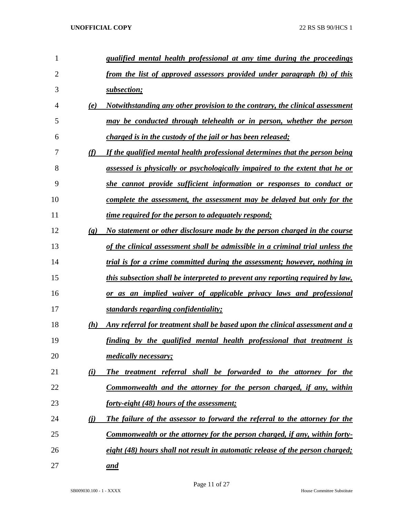| $\mathbf{1}$   |                             | qualified mental health professional at any time during the proceedings            |
|----------------|-----------------------------|------------------------------------------------------------------------------------|
| $\overline{2}$ |                             | from the list of approved assessors provided under paragraph (b) of this           |
| 3              |                             | subsection;                                                                        |
| 4              | (e)                         | Notwithstanding any other provision to the contrary, the clinical assessment       |
| 5              |                             | may be conducted through telehealth or in person, whether the person               |
| 6              |                             | charged is in the custody of the jail or has been released;                        |
| 7              | (f)                         | If the qualified mental health professional determines that the person being       |
| 8              |                             | <u>assessed is physically or psychologically impaired to the extent that he or</u> |
| 9              |                             | she cannot provide sufficient information or responses to conduct or               |
| 10             |                             | complete the assessment, the assessment may be delayed but only for the            |
| 11             |                             | <i>time required for the person to adequately respond;</i>                         |
| 12             | $\left( \mathbf{g} \right)$ | No statement or other disclosure made by the person charged in the course          |
| 13             |                             | of the clinical assessment shall be admissible in a criminal trial unless the      |
| 14             |                             | trial is for a crime committed during the assessment; however, nothing in          |
| 15             |                             | this subsection shall be interpreted to prevent any reporting required by law,     |
| 16             |                             | or as an implied waiver of applicable privacy laws and professional                |
| 17             |                             | standards regarding confidentiality;                                               |
| 18             | (h)                         | Any referral for treatment shall be based upon the clinical assessment and a       |
| 19             |                             | finding by the qualified mental health professional that treatment is              |
| 20             |                             | <i>medically necessary;</i>                                                        |
| 21             | (i)                         | The treatment referral shall be forwarded to the attorney for the                  |
| 22             |                             | Commonwealth and the attorney for the person charged, if any, within               |
| 23             |                             | forty-eight (48) hours of the assessment;                                          |
| 24             | (i)                         | The failure of the assessor to forward the referral to the attorney for the        |
| 25             |                             | Commonwealth or the attorney for the person charged, if any, within forty-         |
| 26             |                             | eight (48) hours shall not result in automatic release of the person charged;      |
| 27             |                             | and                                                                                |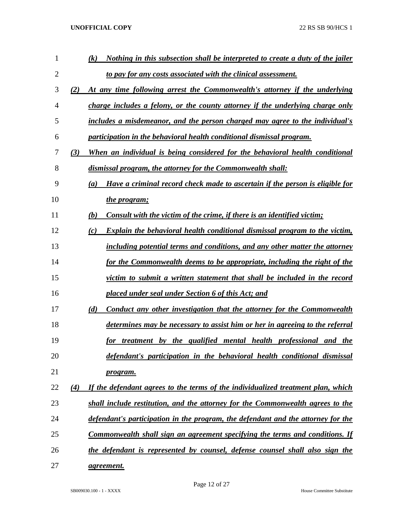| $\mathbf{1}$ | Nothing in this subsection shall be interpreted to create a duty of the jailer<br>(k)    |
|--------------|------------------------------------------------------------------------------------------|
| 2            | to pay for any costs associated with the clinical assessment.                            |
| 3            | (2)<br>At any time following arrest the Commonwealth's attorney if the underlying        |
| 4            | charge includes a felony, or the county attorney if the underlying charge only           |
| 5            | includes a misdemeanor, and the person charged may agree to the individual's             |
| 6            | participation in the behavioral health conditional dismissal program.                    |
| 7            | When an individual is being considered for the behavioral health conditional<br>(3)      |
| 8            | dismissal program, the attorney for the Commonwealth shall:                              |
| 9            | Have a criminal record check made to ascertain if the person is eligible for<br>(a)      |
| 10           | the program;                                                                             |
| 11           | (b)<br>Consult with the victim of the crime, if there is an identified victim;           |
| 12           | <b>Explain the behavioral health conditional dismissal program to the victim,</b><br>(c) |
| 13           | including potential terms and conditions, and any other matter the attorney              |
| 14           | for the Commonwealth deems to be appropriate, including the right of the                 |
| 15           | victim to submit a written statement that shall be included in the record                |
| 16           | placed under seal under Section 6 of this Act; and                                       |
| 17           | Conduct any other investigation that the attorney for the Commonwealth<br>(d)            |
| 18           | determines may be necessary to assist him or her in agreeing to the referral             |
| 19           | for treatment by the qualified mental health professional and the                        |
| 20           | defendant's participation in the behavioral health conditional dismissal                 |
| 21           | program.                                                                                 |
| 22           | If the defendant agrees to the terms of the individualized treatment plan, which<br>(4)  |
| 23           | shall include restitution, and the attorney for the Commonwealth agrees to the           |
| 24           | defendant's participation in the program, the defendant and the attorney for the         |
| 25           | Commonwealth shall sign an agreement specifying the terms and conditions. If             |
| 26           | the defendant is represented by counsel, defense counsel shall also sign the             |
| 27           | <i>agreement.</i>                                                                        |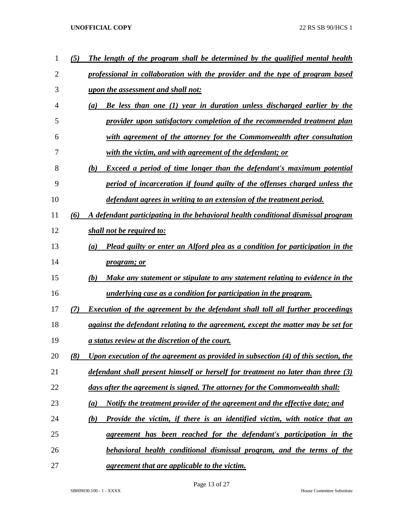| 1  | (5) | The length of the program shall be determined by the qualified mental health          |
|----|-----|---------------------------------------------------------------------------------------|
| 2  |     | professional in collaboration with the provider and the type of program based         |
| 3  |     | upon the assessment and shall not:                                                    |
| 4  |     | Be less than one (1) year in duration unless discharged earlier by the<br>(a)         |
| 5  |     | provider upon satisfactory completion of the recommended treatment plan               |
| 6  |     | with agreement of the attorney for the Commonwealth after consultation                |
| 7  |     | with the victim, and with agreement of the defendant; or                              |
| 8  |     | <b>Exceed a period of time longer than the defendant's maximum potential</b><br>(b)   |
| 9  |     | period of incarceration if found guilty of the offenses charged unless the            |
| 10 |     | defendant agrees in writing to an extension of the treatment period.                  |
| 11 | (6) | A defendant participating in the behavioral health conditional dismissal program      |
| 12 |     | shall not be required to:                                                             |
| 13 |     | Plead guilty or enter an Alford plea as a condition for participation in the<br>(a)   |
| 14 |     | <i>program; or</i>                                                                    |
| 15 |     | Make any statement or stipulate to any statement relating to evidence in the<br>(b)   |
| 16 |     | underlying case as a condition for participation in the program.                      |
| 17 | 7)  | <b>Execution of the agreement by the defendant shall toll all further proceedings</b> |
| 18 |     | against the defendant relating to the agreement, except the matter may be set for     |
| 19 |     | a status review at the discretion of the court.                                       |
| 20 | (8) | Upon execution of the agreement as provided in subsection (4) of this section, the    |
| 21 |     | defendant shall present himself or herself for treatment no later than three (3)      |
| 22 |     | days after the agreement is signed. The attorney for the Commonwealth shall:          |
| 23 |     | Notify the treatment provider of the agreement and the effective date; and<br>(a)     |
| 24 |     | Provide the victim, if there is an identified victim, with notice that an<br>(b)      |
| 25 |     | agreement has been reached for the defendant's participation in the                   |
| 26 |     | behavioral health conditional dismissal program, and the terms of the                 |
| 27 |     | agreement that are applicable to the victim.                                          |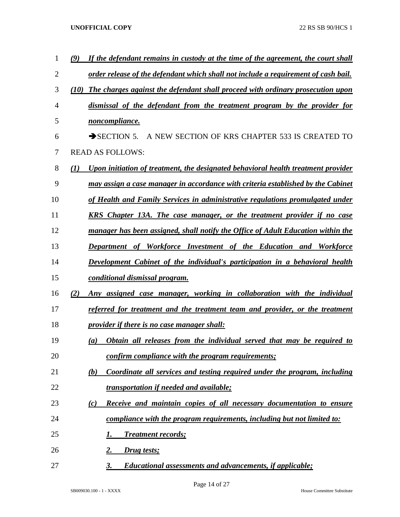| 1              | If the defendant remains in custody at the time of the agreement, the court shall<br>(9) |
|----------------|------------------------------------------------------------------------------------------|
| $\overline{2}$ | order release of the defendant which shall not include a requirement of cash bail.       |
| 3              | (10)<br>The charges against the defendant shall proceed with ordinary prosecution upon   |
| 4              | dismissal of the defendant from the treatment program by the provider for                |
| 5              | noncompliance.                                                                           |
| 6              | $\rightarrow$ SECTION 5.<br>A NEW SECTION OF KRS CHAPTER 533 IS CREATED TO               |
| 7              | <b>READ AS FOLLOWS:</b>                                                                  |
| 8              | Upon initiation of treatment, the designated behavioral health treatment provider<br>(1) |
| 9              | may assign a case manager in accordance with criteria established by the Cabinet         |
| 10             | of Health and Family Services in administrative regulations promulgated under            |
| 11             | <b>KRS</b> Chapter 13A. The case manager, or the treatment provider if no case           |
| 12             | manager has been assigned, shall notify the Office of Adult Education within the         |
| 13             | <b>Department of Workforce Investment of the Education and Workforce</b>                 |
| 14             | Development Cabinet of the individual's participation in a behavioral health             |
| 15             | conditional dismissal program.                                                           |
| 16             | Any assigned case manager, working in collaboration with the individual<br>(2)           |
| 17             | referred for treatment and the treatment team and provider, or the treatment             |
| 18             | <u>provider if there is no case manager shall:</u>                                       |
| 19             | <b>Obtain all releases from the individual served that may be required to</b><br>(a)     |
| 20             | confirm compliance with the program requirements;                                        |
| 21             | Coordinate all services and testing required under the program, including<br>(b)         |
| 22             | transportation if needed and available;                                                  |
| 23             | Receive and maintain copies of all necessary documentation to ensure<br>(c)              |
| 24             | compliance with the program requirements, including but not limited to:                  |
| 25             | <b>Treatment records;</b><br>1.                                                          |
| 26             | <u>2.</u><br>Drug tests;                                                                 |
| 27             | 3.<br><b>Educational assessments and advancements, if applicable;</b>                    |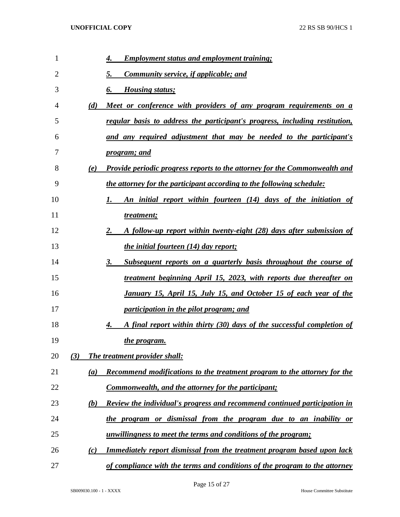| 1  | <b>Employment status and employment training;</b><br>4.                                |
|----|----------------------------------------------------------------------------------------|
| 2  | <b>Community service, if applicable; and</b><br>5.                                     |
| 3  | <b>Housing status;</b><br>6.                                                           |
| 4  | <u>Meet or conference with providers of any program requirements on a</u><br>(d)       |
| 5  | regular basis to address the participant's progress, including restitution,            |
| 6  | and any required adjustment that may be needed to the participant's                    |
| 7  | <i>program; and</i>                                                                    |
| 8  | Provide periodic progress reports to the attorney for the Commonwealth and<br>(e)      |
| 9  | the attorney for the participant according to the following schedule:                  |
| 10 | An initial report within fourteen (14) days of the initiation of                       |
| 11 | treatment;                                                                             |
| 12 | A follow-up report within twenty-eight (28) days after submission of<br>2.             |
| 13 | <i>the initial fourteen (14) day report;</i>                                           |
| 14 | Subsequent reports on a quarterly basis throughout the course of<br>3.                 |
| 15 | treatment beginning April 15, 2023, with reports due thereafter on                     |
| 16 | <u>January 15, April 15, July 15, and October 15 of each year of the</u>               |
| 17 | participation in the pilot program; and                                                |
| 18 | A final report within thirty (30) days of the successful completion of<br>4.           |
| 19 | the program.                                                                           |
| 20 | The treatment provider shall:<br>(3)                                                   |
| 21 | <b>Recommend modifications to the treatment program to the attorney for the</b><br>(a) |
| 22 | <b>Commonwealth, and the attorney for the participant;</b>                             |
| 23 | Review the individual's progress and recommend continued participation in<br>(b)       |
| 24 | the program or dismissal from the program due to an inability or                       |
| 25 | unwillingness to meet the terms and conditions of the program;                         |
| 26 | <u>Immediately report dismissal from the treatment program based upon lack</u><br>(c)  |
| 27 | of compliance with the terms and conditions of the program to the attorney             |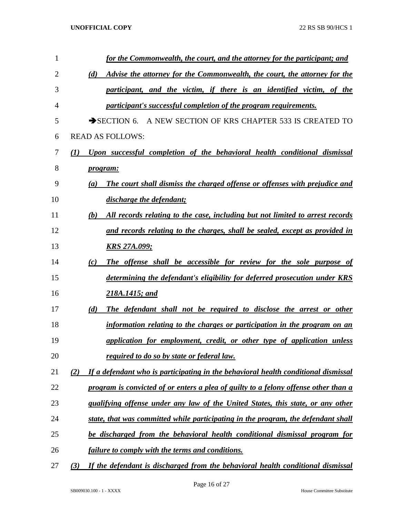| 1              |     | for the Commonwealth, the court, and the attorney for the participant; and           |
|----------------|-----|--------------------------------------------------------------------------------------|
| $\overline{2}$ |     | Advise the attorney for the Commonwealth, the court, the attorney for the<br>(d)     |
| 3              |     | participant, and the victim, if there is an identified victim, of the                |
| 4              |     | participant's successful completion of the program requirements.                     |
| 5              |     | SECTION 6. A NEW SECTION OF KRS CHAPTER 533 IS CREATED TO                            |
| 6              |     | <b>READ AS FOLLOWS:</b>                                                              |
| 7              | (I) | Upon successful completion of the behavioral health conditional dismissal            |
| 8              |     | <i>program:</i>                                                                      |
| 9              |     | The court shall dismiss the charged offense or offenses with prejudice and<br>(a)    |
| 10             |     | discharge the defendant;                                                             |
| 11             |     | All records relating to the case, including but not limited to arrest records<br>(b) |
| 12             |     | and records relating to the charges, shall be sealed, except as provided in          |
| 13             |     | <u>KRS 27A.099;</u>                                                                  |
| 14             |     | The offense shall be accessible for review for the sole purpose of<br>(c)            |
| 15             |     | determining the defendant's eligibility for deferred prosecution under KRS           |
| 16             |     | 218A.1415; and                                                                       |
| 17             |     | The defendant shall not be required to disclose the arrest or other<br>(d)           |
| 18             |     | information relating to the charges or participation in the program on an            |
| 19             |     | application for employment, credit, or other type of application unless              |
| 20             |     | required to do so by state or federal law.                                           |
| 21             | (2) | If a defendant who is participating in the behavioral health conditional dismissal   |
| 22             |     | program is convicted of or enters a plea of guilty to a felony offense other than a  |
| 23             |     | qualifying offense under any law of the United States, this state, or any other      |
| 24             |     | state, that was committed while participating in the program, the defendant shall    |
| 25             |     | be discharged from the behavioral health conditional dismissal program for           |
| 26             |     | <i>failure to comply with the terms and conditions.</i>                              |
| 27             | (3) | If the defendant is discharged from the behavioral health conditional dismissal      |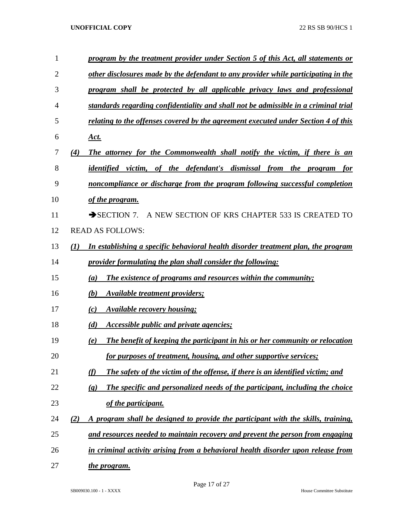| $\mathbf{1}$   | program by the treatment provider under Section 5 of this Act, all statements or                           |
|----------------|------------------------------------------------------------------------------------------------------------|
| $\overline{2}$ | other disclosures made by the defendant to any provider while participating in the                         |
| 3              | program shall be protected by all applicable privacy laws and professional                                 |
| 4              | standards regarding confidentiality and shall not be admissible in a criminal trial                        |
| 5              | relating to the offenses covered by the agreement executed under Section 4 of this                         |
| 6              | Act.                                                                                                       |
| 7              | The attorney for the Commonwealth shall notify the victim, if there is an<br>(4)                           |
| 8              | identified victim, of the defendant's dismissal from the program<br>for                                    |
| 9              | noncompliance or discharge from the program following successful completion                                |
| 10             | of the program.                                                                                            |
| 11             | A NEW SECTION OF KRS CHAPTER 533 IS CREATED TO<br>$\rightarrow$ SECTION 7.                                 |
| 12             | <b>READ AS FOLLOWS:</b>                                                                                    |
| 13             | (1)<br>In establishing a specific behavioral health disorder treatment plan, the program                   |
| 14             | provider formulating the plan shall consider the following:                                                |
| 15             | <b>The existence of programs and resources within the community;</b><br>(a)                                |
| 16             | (b)<br><b>Available treatment providers;</b>                                                               |
| 17             | <b>Available recovery housing:</b><br>(c)                                                                  |
| 18             | (d)<br><i>Accessible public and private agencies;</i>                                                      |
| 19             | The benefit of keeping the participant in his or her community or relocation<br>(e)                        |
| 20             | for purposes of treatment, housing, and other supportive services;                                         |
| 21             | (f)<br>The safety of the victim of the offense, if there is an identified victim; and                      |
| 22             | The specific and personalized needs of the participant, including the choice<br>$\left( \mathbf{g}\right)$ |
| 23             | of the participant.                                                                                        |
| 24             | A program shall be designed to provide the participant with the skills, training,<br>(2)                   |
| 25             | and resources needed to maintain recovery and prevent the person from engaging                             |
| 26             | in criminal activity arising from a behavioral health disorder upon release from                           |
| 27             | <u>the program.</u>                                                                                        |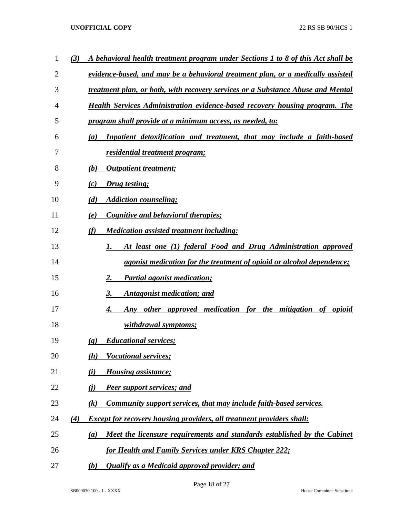| 1  | A behavioral health treatment program under Sections 1 to 8 of this Act shall be<br>(3)    |
|----|--------------------------------------------------------------------------------------------|
| 2  | evidence-based, and may be a behavioral treatment plan, or a medically assisted            |
| 3  | treatment plan, or both, with recovery services or a Substance Abuse and Mental            |
| 4  | <b>Health Services Administration evidence-based recovery housing program. The</b>         |
| 5  | program shall provide at a minimum access, as needed, to:                                  |
| 6  | Inpatient detoxification and treatment, that may include a faith-based<br>$\left(a\right)$ |
| 7  | <u>residential treatment program;</u>                                                      |
| 8  | <b>Outpatient treatment;</b><br>(b)                                                        |
| 9  | Drug testing;<br>(c)                                                                       |
| 10 | (d)<br><b>Addiction counseling;</b>                                                        |
| 11 | Cognitive and behavioral therapies;<br>(e)                                                 |
| 12 | (f)<br><b>Medication assisted treatment including:</b>                                     |
| 13 | At least one (1) federal Food and Drug Administration approved<br>I.                       |
| 14 | <i>agonist medication for the treatment of opioid or alcohol dependence;</i>               |
| 15 | <b>Partial agonist medication;</b><br>2.                                                   |
| 16 | <b>Antagonist medication; and</b><br>3.                                                    |
| 17 | Any other approved medication for the mitigation of opioid<br>4.                           |
| 18 | <u>withdrawal symptoms;</u>                                                                |
| 19 | <b>Educational services;</b><br>$\left( \mathbf{g} \right)$                                |
| 20 | <b>Vocational services;</b><br>(h)                                                         |
| 21 | $\bf(i)$<br><b>Housing assistance;</b>                                                     |
| 22 | <u>(i)</u><br><b>Peer support services; and</b>                                            |
| 23 | Community support services, that may include faith-based services.<br>$\left( k\right)$    |
| 24 | <b>Except for recovery housing providers, all treatment providers shall:</b><br>(4)        |
| 25 | Meet the licensure requirements and standards established by the Cabinet<br>(a)            |
| 26 | for Health and Family Services under KRS Chapter 222;                                      |
| 27 | <b>Qualify as a Medicaid approved provider; and</b><br><u>(b)</u>                          |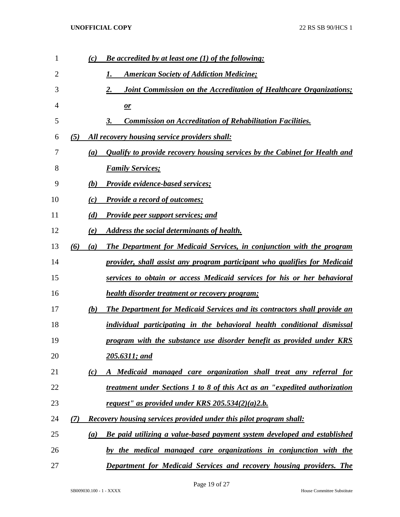| $\mathbf{1}$ | (c)              | <b>Be accredited by at least one (1) of the following:</b>                        |
|--------------|------------------|-----------------------------------------------------------------------------------|
| 2            |                  | <b>American Society of Addiction Medicine;</b>                                    |
| 3            |                  | 2.<br><b>Joint Commission on the Accreditation of Healthcare Organizations;</b>   |
| 4            |                  | $\mathbf{r}$                                                                      |
| 5            |                  | <b>Commission on Accreditation of Rehabilitation Facilities.</b><br>3.            |
| 6            | (5)              | <u>All recovery housing service providers shall:</u>                              |
| 7            | $\left(a\right)$ | <b>Qualify to provide recovery housing services by the Cabinet for Health and</b> |
| 8            |                  | <b>Family Services;</b>                                                           |
| 9            | (b)              | Provide evidence-based services;                                                  |
| 10           | (c)              | <b>Provide a record of outcomes;</b>                                              |
| 11           | (d)              | <b>Provide peer support services; and</b>                                         |
| 12           | (e)              | Address the social determinants of health.                                        |
| 13           | (6)<br>(a)       | <b>The Department for Medicaid Services, in conjunction with the program</b>      |
| 14           |                  | provider, shall assist any program participant who qualifies for Medicaid         |
| 15           |                  | services to obtain or access Medicaid services for his or her behavioral          |
| 16           |                  | health disorder treatment or recovery program;                                    |
| 17           | (b)              | <b>The Department for Medicaid Services and its contractors shall provide an</b>  |
| 18           |                  | individual participating in the behavioral health conditional dismissal           |
| 19           |                  | program with the substance use disorder benefit as provided under KRS             |
| 20           |                  | 205.6311; and                                                                     |
| 21           | (c)              | A Medicaid managed care organization shall treat any referral for                 |
| 22           |                  | treatment under Sections 1 to 8 of this Act as an "expedited authorization        |
| 23           |                  | request" as provided under KRS $205.534(2)(a)2.b.$                                |
| 24           | (7)              | <b>Recovery housing services provided under this pilot program shall:</b>         |
| 25           | (a)              | Be paid utilizing a value-based payment system developed and established          |
| 26           |                  | by the medical managed care organizations in conjunction with the                 |
| 27           |                  | Department for Medicaid Services and recovery housing providers. The              |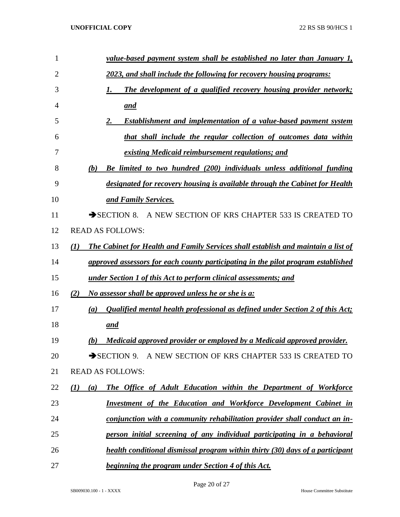| 1            | <u>value-based payment system shall be established no later than January 1,</u>                       |
|--------------|-------------------------------------------------------------------------------------------------------|
| $\mathbf{2}$ | 2023, and shall include the following for recovery housing programs:                                  |
| 3            | The development of a qualified recovery housing provider network;<br>1.                               |
| 4            | <u>and</u>                                                                                            |
| 5            | <b>Establishment and implementation of a value-based payment system</b><br>2.                         |
| 6            | that shall include the regular collection of outcomes data within                                     |
| 7            | existing Medicaid reimbursement regulations; and                                                      |
| 8            | Be limited to two hundred (200) individuals unless additional funding<br>(b)                          |
| 9            | designated for recovery housing is available through the Cabinet for Health                           |
| 10           | and Family Services.                                                                                  |
| 11           | SECTION 8. A NEW SECTION OF KRS CHAPTER 533 IS CREATED TO                                             |
| 12           | <b>READ AS FOLLOWS:</b>                                                                               |
| 13           | The Cabinet for Health and Family Services shall establish and maintain a list of<br>$\mathcal{L}(I)$ |
| 14           | approved assessors for each county participating in the pilot program established                     |
| 15           | <u>under Section 1 of this Act to perform clinical assessments; and</u>                               |
| 16           | No assessor shall be approved unless he or she is a:<br>(2)                                           |
| 17           | <b>Qualified mental health professional as defined under Section 2 of this Act;</b><br>(a)            |
| 18           | and                                                                                                   |
| 19           | Medicaid approved provider or employed by a Medicaid approved provider.<br>(b)                        |
| 20           | $\rightarrow$ SECTION 9.<br>A NEW SECTION OF KRS CHAPTER 533 IS CREATED TO                            |
| 21           | <b>READ AS FOLLOWS:</b>                                                                               |
| 22           | The Office of Adult Education within the Department of Workforce<br>(I)<br>(a)                        |
| 23           | <b>Investment of the Education and Workforce Development Cabinet in</b>                               |
| 24           | conjunction with a community rehabilitation provider shall conduct an in-                             |
| 25           | person initial screening of any individual participating in a behavioral                              |
| 26           | health conditional dismissal program within thirty (30) days of a participant                         |
| 27           | beginning the program under Section 4 of this Act.                                                    |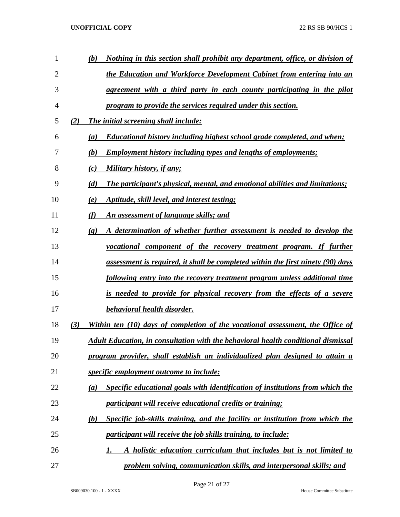| 1  |     | (b)                         | <u>Nothing in this section shall prohibit any department, office, or division of</u>     |
|----|-----|-----------------------------|------------------------------------------------------------------------------------------|
| 2  |     |                             | the Education and Workforce Development Cabinet from entering into an                    |
| 3  |     |                             | agreement with a third party in each county participating in the pilot                   |
| 4  |     |                             | program to provide the services required under this section.                             |
| 5  | (2) |                             | The initial screening shall include:                                                     |
| 6  |     | (a)                         | <b>Educational history including highest school grade completed, and when;</b>           |
| 7  |     | (b)                         | <b>Employment history including types and lengths of employments;</b>                    |
| 8  |     | (c)                         | Military history, if any;                                                                |
| 9  |     | (d)                         | <b>The participant's physical, mental, and emotional abilities and limitations;</b>      |
| 10 |     | (e)                         | Aptitude, skill level, and interest testing;                                             |
| 11 |     | (f)                         | An assessment of language skills; and                                                    |
| 12 |     | $\left( \mathbf{g} \right)$ | A determination of whether further assessment is needed to develop the                   |
| 13 |     |                             | <u>vocational component of the recovery treatment program. If further</u>                |
| 14 |     |                             | assessment is required, it shall be completed within the first ninety (90) days          |
| 15 |     |                             | <u>following entry into the recovery treatment program unless additional time</u>        |
| 16 |     |                             | is needed to provide for physical recovery from the effects of a severe                  |
| 17 |     |                             | behavioral health disorder.                                                              |
| 18 | (3) |                             | Within ten (10) days of completion of the vocational assessment, the Office of           |
| 19 |     |                             | <b>Adult Education, in consultation with the behavioral health conditional dismissal</b> |
| 20 |     |                             | program provider, shall establish an individualized plan designed to attain a            |
| 21 |     |                             | <i>specific employment outcome to include:</i>                                           |
| 22 |     | (a)                         | Specific educational goals with identification of institutions from which the            |
| 23 |     |                             | participant will receive educational credits or training;                                |
| 24 |     | (b)                         | Specific job-skills training, and the facility or institution from which the             |
| 25 |     |                             | participant will receive the job skills training, to include:                            |
| 26 |     |                             | A holistic education curriculum that includes but is not limited to<br>1.                |
| 27 |     |                             | problem solving, communication skills, and interpersonal skills; and                     |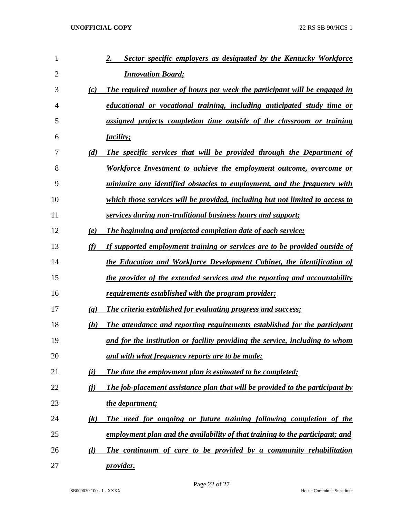| 1              |                             | Sector specific employers as designated by the Kentucky Workforce<br>2.       |
|----------------|-----------------------------|-------------------------------------------------------------------------------|
| $\overline{2}$ |                             | <b>Innovation Board;</b>                                                      |
| 3              | (c)                         | The required number of hours per week the participant will be engaged in      |
| 4              |                             | educational or vocational training, including anticipated study time or       |
| 5              |                             | assigned projects completion time outside of the classroom or training        |
| 6              |                             | <i>facility</i> ;                                                             |
| 7              | (d)                         | The specific services that will be provided through the Department of         |
| 8              |                             | Workforce Investment to achieve the employment outcome, overcome or           |
| 9              |                             | minimize any identified obstacles to employment, and the frequency with       |
| 10             |                             | which those services will be provided, including but not limited to access to |
| 11             |                             | services during non-traditional business hours and support;                   |
| 12             | (e)                         | The beginning and projected completion date of each service;                  |
| 13             | (f)                         | If supported employment training or services are to be provided outside of    |
| 14             |                             | the Education and Workforce Development Cabinet, the identification of        |
| 15             |                             | the provider of the extended services and the reporting and accountability    |
| 16             |                             | <u>requirements established with the program provider;</u>                    |
| 17             | $\left( \mathbf{g} \right)$ | The criteria established for evaluating progress and success;                 |
| 18             | (h)                         | The attendance and reporting requirements established for the participant     |
| 19             |                             | and for the institution or facility providing the service, including to whom  |
| 20             |                             | <u>and with what frequency reports are to be made;</u>                        |
| 21             | (i)                         | The date the employment plan is estimated to be completed;                    |
| 22             | (i)                         | The job-placement assistance plan that will be provided to the participant by |
| 23             |                             | the department;                                                               |
| 24             | (k)                         | The need for ongoing or future training following completion of the           |
| 25             |                             | employment plan and the availability of that training to the participant; and |
| 26             | $\left( l\right)$           | The continuum of care to be provided by a community rehabilitation            |
| 27             |                             | <i>provider.</i>                                                              |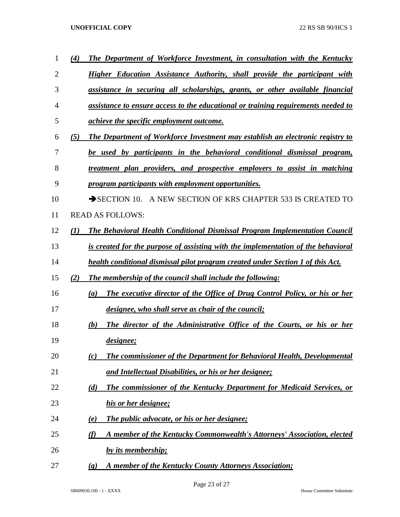| 1  | (4)              | The Department of Workforce Investment, in consultation with the Kentucky                |
|----|------------------|------------------------------------------------------------------------------------------|
| 2  |                  | Higher Education Assistance Authority, shall provide the participant with                |
| 3  |                  | assistance in securing all scholarships, grants, or other available financial            |
| 4  |                  | assistance to ensure access to the educational or training requirements needed to        |
| 5  |                  | <i>achieve the specific employment outcome.</i>                                          |
| 6  | (5)              | The Department of Workforce Investment may establish an electronic registry to           |
| 7  |                  | be used by participants in the behavioral conditional dismissal program,                 |
| 8  |                  | treatment plan providers, and prospective employers to assist in matching                |
| 9  |                  | program participants with employment opportunities.                                      |
| 10 |                  | $\rightarrow$ SECTION 10.<br>A NEW SECTION OF KRS CHAPTER 533 IS CREATED TO              |
| 11 |                  | <b>READ AS FOLLOWS:</b>                                                                  |
| 12 | $\mathcal{L}(I)$ | The Behavioral Health Conditional Dismissal Program Implementation Council               |
| 13 |                  | is created for the purpose of assisting with the implementation of the behavioral        |
| 14 |                  | health conditional dismissal pilot program created under Section 1 of this Act.          |
| 15 | (2)              | <b>The membership of the council shall include the following:</b>                        |
| 16 |                  | <b>The executive director of the Office of Drug Control Policy, or his or her</b><br>(a) |
| 17 |                  | designee, who shall serve as chair of the council;                                       |
| 18 |                  | The director of the Administrative Office of the Courts, or his or her<br>(b)            |
| 19 |                  | designee;                                                                                |
| 20 |                  | The commissioner of the Department for Behavioral Health, Developmental<br>(c)           |
| 21 |                  | and Intellectual Disabilities, or his or her designee;                                   |
| 22 |                  | The commissioner of the Kentucky Department for Medicaid Services, or<br>(d)             |
| 23 |                  | his or her designee;                                                                     |
| 24 |                  | <b>The public advocate, or his or her designee;</b><br>(e)                               |
| 25 |                  | A member of the Kentucky Commonwealth's Attorneys' Association, elected<br>(f)           |
| 26 |                  | by its membership;                                                                       |
| 27 |                  | A member of the Kentucky County Attorneys Association;<br>$\left( \mathbf{g} \right)$    |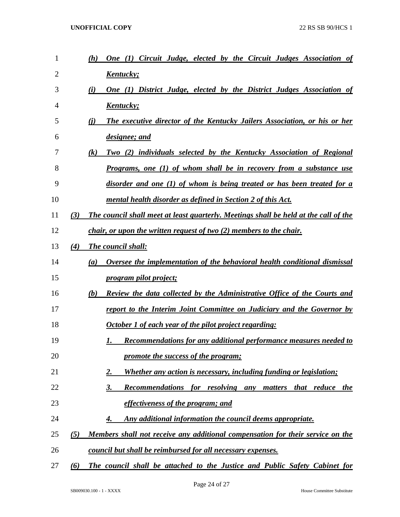| 1  |     | <b>One (1) Circuit Judge, elected by the Circuit Judges Association of</b><br>(h)         |
|----|-----|-------------------------------------------------------------------------------------------|
| 2  |     | <u>Kentucky;</u>                                                                          |
| 3  |     | One (1) District Judge, elected by the District Judges Association of<br>(i)              |
| 4  |     | <u>Kentucky;</u>                                                                          |
| 5  |     | The executive director of the Kentucky Jailers Association, or his or her<br>(i)          |
| 6  |     | designee; and                                                                             |
| 7  |     | Two (2) individuals selected by the Kentucky Association of Regional<br>$\left( k\right)$ |
| 8  |     | <b>Programs, one (1) of whom shall be in recovery from a substance use</b>                |
| 9  |     | disorder and one (1) of whom is being treated or has been treated for a                   |
| 10 |     | mental health disorder as defined in Section 2 of this Act.                               |
| 11 | (3) | The council shall meet at least quarterly. Meetings shall be held at the call of the      |
| 12 |     | <i>chair, or upon the written request of two (2) members to the chair.</i>                |
| 13 | (4) | <b>The council shall:</b>                                                                 |
| 14 |     | Oversee the implementation of the behavioral health conditional dismissal<br>(a)          |
| 15 |     | <i>program pilot project;</i>                                                             |
| 16 |     | <b>Review the data collected by the Administrative Office of the Courts and</b><br>(b)    |
| 17 |     | report to the Interim Joint Committee on Judiciary and the Governor by                    |
| 18 |     | October 1 of each year of the pilot project regarding:                                    |
| 19 |     | Recommendations for any additional performance measures needed to<br>1.                   |
| 20 |     | promote the success of the program;                                                       |
| 21 |     | <b>Whether any action is necessary, including funding or legislation;</b><br>2.           |
| 22 |     | Recommendations for resolving any matters that reduce the<br>3.                           |
| 23 |     | effectiveness of the program; and                                                         |
| 24 |     | Any additional information the council deems appropriate.<br>4.                           |
| 25 | (5) | Members shall not receive any additional compensation for their service on the            |
| 26 |     | council but shall be reimbursed for all necessary expenses.                               |
| 27 | (6) | The council shall be attached to the Justice and Public Safety Cabinet for                |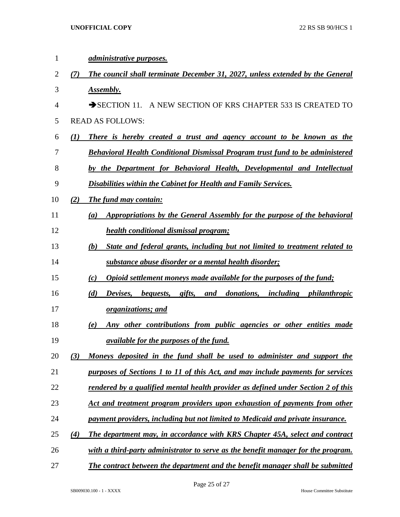| 1  |     | <i>administrative purposes.</i>                                                      |
|----|-----|--------------------------------------------------------------------------------------|
| 2  | (7) | The council shall terminate December 31, 2027, unless extended by the General        |
| 3  |     | Assembly.                                                                            |
| 4  |     | $\rightarrow$ SECTION 11. A NEW SECTION OF KRS CHAPTER 533 IS CREATED                |
| 5  |     | <b>READ AS FOLLOWS:</b>                                                              |
| 6  | (I) | There is hereby created a trust and agency account to be known as the                |
| 7  |     | <b>Behavioral Health Conditional Dismissal Program trust fund to be administered</b> |
| 8  |     | by the Department for Behavioral Health, Developmental and Intellectual              |
| 9  |     | Disabilities within the Cabinet for Health and Family Services.                      |
| 10 | (2) | <b>The fund may contain:</b>                                                         |
| 11 |     | Appropriations by the General Assembly for the purpose of the behavioral<br>(a)      |
| 12 |     | <b>health conditional dismissal program;</b>                                         |
| 13 |     | State and federal grants, including but not limited to treatment related to<br>(b)   |
| 14 |     | substance abuse disorder or a mental health disorder;                                |
| 15 |     | Opioid settlement moneys made available for the purposes of the fund;<br>(c)         |
| 16 |     | Devises, bequests, gifts, and donations, including philanthropic<br>(d)              |
| 17 |     | <i>organizations; and</i>                                                            |
| 18 |     | Any other contributions from public agencies or other entities made<br>(e)           |
| 19 |     | <i><u>available for the purposes of the fund.</u></i>                                |
| 20 | (3) | Moneys deposited in the fund shall be used to administer and support the             |
| 21 |     | purposes of Sections 1 to 11 of this Act, and may include payments for services      |
| 22 |     | rendered by a qualified mental health provider as defined under Section 2 of this    |
| 23 |     | Act and treatment program providers upon exhaustion of payments from other           |
| 24 |     | payment providers, including but not limited to Medicaid and private insurance.      |
| 25 | (4) | The department may, in accordance with KRS Chapter 45A, select and contract          |
| 26 |     | with a third-party administrator to serve as the benefit manager for the program.    |
| 27 |     | The contract between the department and the benefit manager shall be submitted       |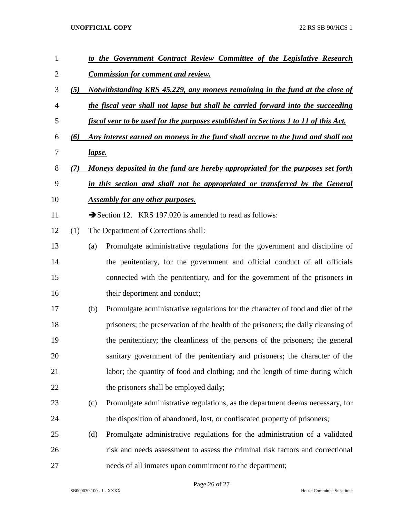| $\mathbf{1}$   |     |                                                                                 | to the Government Contract Review Committee of the Legislative Research              |  |  |  |
|----------------|-----|---------------------------------------------------------------------------------|--------------------------------------------------------------------------------------|--|--|--|
| $\overline{2}$ |     |                                                                                 | <b>Commission for comment and review.</b>                                            |  |  |  |
| 3              | (5) |                                                                                 | Notwithstanding KRS 45.229, any moneys remaining in the fund at the close of         |  |  |  |
| $\overline{4}$ |     |                                                                                 | the fiscal year shall not lapse but shall be carried forward into the succeeding     |  |  |  |
| 5              |     |                                                                                 | fiscal year to be used for the purposes established in Sections 1 to 11 of this Act. |  |  |  |
| 6              | (6) |                                                                                 | Any interest earned on moneys in the fund shall accrue to the fund and shall not     |  |  |  |
| $\overline{7}$ |     | <u>lapse.</u>                                                                   |                                                                                      |  |  |  |
| $8\,$          | (7) | Moneys deposited in the fund are hereby appropriated for the purposes set forth |                                                                                      |  |  |  |
| 9              |     |                                                                                 | in this section and shall not be appropriated or transferred by the General          |  |  |  |
| 10             |     |                                                                                 | <b>Assembly for any other purposes.</b>                                              |  |  |  |
| 11             |     |                                                                                 | Section 12. KRS 197.020 is amended to read as follows:                               |  |  |  |
| 12             | (1) |                                                                                 | The Department of Corrections shall:                                                 |  |  |  |
| 13             |     | (a)                                                                             | Promulgate administrative regulations for the government and discipline of           |  |  |  |
| 14             |     |                                                                                 | the penitentiary, for the government and official conduct of all officials           |  |  |  |
| 15             |     |                                                                                 | connected with the penitentiary, and for the government of the prisoners in          |  |  |  |
| 16             |     |                                                                                 | their deportment and conduct;                                                        |  |  |  |
| 17             |     | (b)                                                                             | Promulgate administrative regulations for the character of food and diet of the      |  |  |  |
| 18             |     |                                                                                 | prisoners; the preservation of the health of the prisoners; the daily cleansing of   |  |  |  |
| 19             |     |                                                                                 | the penitentiary; the cleanliness of the persons of the prisoners; the general       |  |  |  |
| 20             |     |                                                                                 | sanitary government of the penitentiary and prisoners; the character of the          |  |  |  |
| 21             |     |                                                                                 | labor; the quantity of food and clothing; and the length of time during which        |  |  |  |
| 22             |     |                                                                                 | the prisoners shall be employed daily;                                               |  |  |  |
| 23             |     | (c)                                                                             | Promulgate administrative regulations, as the department deems necessary, for        |  |  |  |
| 24             |     |                                                                                 | the disposition of abandoned, lost, or confiscated property of prisoners;            |  |  |  |
| 25             |     | (d)                                                                             | Promulgate administrative regulations for the administration of a validated          |  |  |  |
| 26             |     |                                                                                 | risk and needs assessment to assess the criminal risk factors and correctional       |  |  |  |
| 27             |     |                                                                                 | needs of all inmates upon commitment to the department;                              |  |  |  |

Page 26 of 27